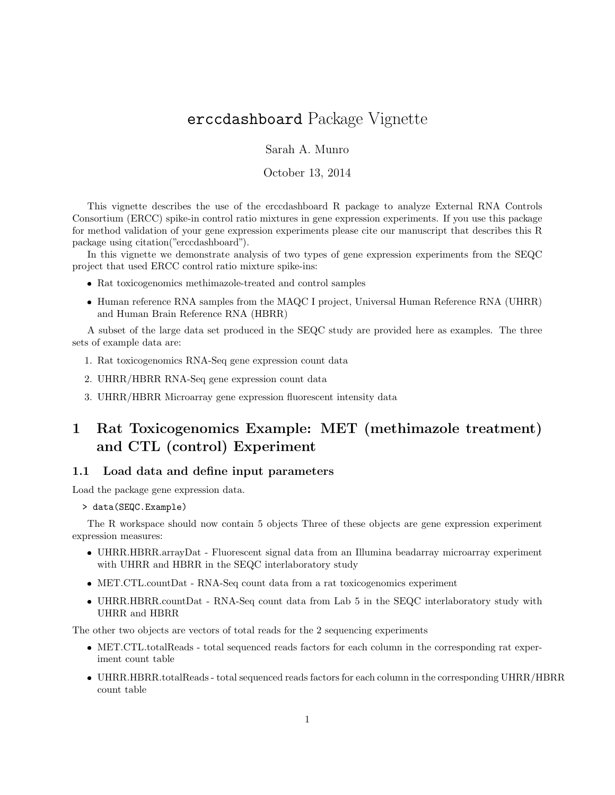# erccdashboard Package Vignette

Sarah A. Munro

October 13, 2014

This vignette describes the use of the erccdashboard R package to analyze External RNA Controls Consortium (ERCC) spike-in control ratio mixtures in gene expression experiments. If you use this package for method validation of your gene expression experiments please cite our manuscript that describes this R package using citation("erccdashboard").

In this vignette we demonstrate analysis of two types of gene expression experiments from the SEQC project that used ERCC control ratio mixture spike-ins:

- Rat toxicogenomics methimazole-treated and control samples
- Human reference RNA samples from the MAQC I project, Universal Human Reference RNA (UHRR) and Human Brain Reference RNA (HBRR)

A subset of the large data set produced in the SEQC study are provided here as examples. The three sets of example data are:

- 1. Rat toxicogenomics RNA-Seq gene expression count data
- 2. UHRR/HBRR RNA-Seq gene expression count data
- 3. UHRR/HBRR Microarray gene expression fluorescent intensity data

# 1 Rat Toxicogenomics Example: MET (methimazole treatment) and CTL (control) Experiment

#### 1.1 Load data and define input parameters

Load the package gene expression data.

```
> data(SEQC.Example)
```
The R workspace should now contain 5 objects Three of these objects are gene expression experiment expression measures:

- UHRR.HBRR.arrayDat Fluorescent signal data from an Illumina beadarray microarray experiment with UHRR and HBRR in the SEQC interlaboratory study
- MET.CTL.countDat RNA-Seq count data from a rat toxicogenomics experiment
- UHRR.HBRR.countDat RNA-Seq count data from Lab 5 in the SEQC interlaboratory study with UHRR and HBRR

The other two objects are vectors of total reads for the 2 sequencing experiments

- MET.CTL.totalReads total sequenced reads factors for each column in the corresponding rat experiment count table
- UHRR.HBRR.totalReads total sequenced reads factors for each column in the corresponding UHRR/HBRR count table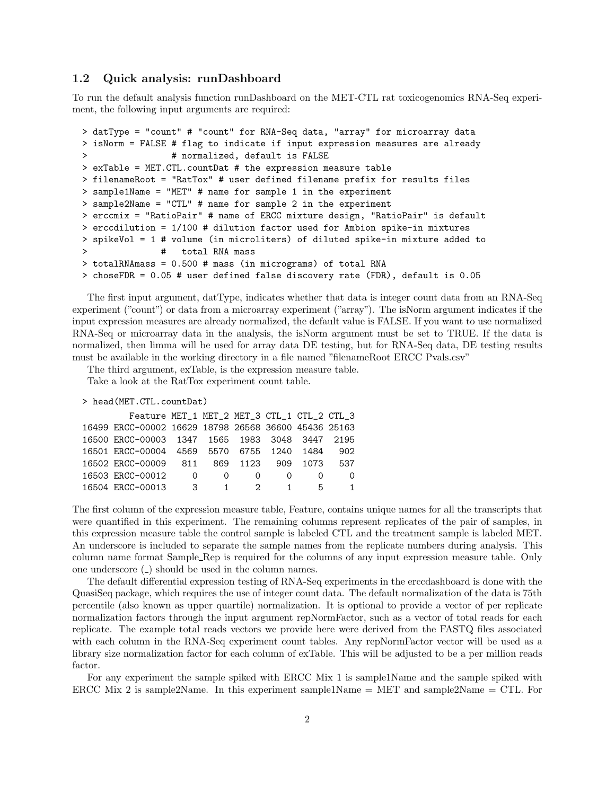### 1.2 Quick analysis: runDashboard

To run the default analysis function runDashboard on the MET-CTL rat toxicogenomics RNA-Seq experiment, the following input arguments are required:

```
> datType = "count" # "count" for RNA-Seq data, "array" for microarray data
> isNorm = FALSE # flag to indicate if input expression measures are already
> # normalized, default is FALSE
> exTable = MET.CTL.countDat # the expression measure table
> filenameRoot = "RatTox" # user defined filename prefix for results files
> sample1Name = "MET" # name for sample 1 in the experiment
> sample2Name = "CTL" # name for sample 2 in the experiment
> erccmix = "RatioPair" # name of ERCC mixture design, "RatioPair" is default
> erccdilution = 1/100 # dilution factor used for Ambion spike-in mixtures
> spikeVol = 1 # volume (in microliters) of diluted spike-in mixture added to
> # total RNA mass
> totalRNAmass = 0.500 # mass (in micrograms) of total RNA
> choseFDR = 0.05 # user defined false discovery rate (FDR), default is 0.05
```
The first input argument, datType, indicates whether that data is integer count data from an RNA-Seq experiment ("count") or data from a microarray experiment ("array"). The isNorm argument indicates if the input expression measures are already normalized, the default value is FALSE. If you want to use normalized RNA-Seq or microarray data in the analysis, the isNorm argument must be set to TRUE. If the data is normalized, then limma will be used for array data DE testing, but for RNA-Seq data, DE testing results must be available in the working directory in a file named "filenameRoot ERCC Pvals.csv"

The third argument, exTable, is the expression measure table.

Take a look at the RatTox experiment count table.

```
> head(MET.CTL.countDat)
```

| Feature MET_1 MET_2 MET_3 CTL_1 CTL_2 CTL_3          |                         |                            |              |      |          |
|------------------------------------------------------|-------------------------|----------------------------|--------------|------|----------|
| 16499 ERCC-00002 16629 18798 26568 36600 45436 25163 |                         |                            |              |      |          |
| 16500 ERCC-00003 1347 1565 1983 3048 3447 2195       |                         |                            |              |      |          |
| 16501 ERCC-00004 4569 5570 6755 1240 1484            |                         |                            |              |      | 902      |
| 16502 ERCC-00009 811                                 |                         | 869 1123 909               |              | 1073 | 537      |
| 16503 ERCC-00012                                     | $\overline{0}$          | $\Omega$<br>$\Omega$       |              |      | $\Omega$ |
| 16504 ERCC-00013                                     | $\overline{\mathbf{3}}$ | $\mathcal{P}$<br>$1 \quad$ | $\mathbf{1}$ | 5.   | 1        |

The first column of the expression measure table, Feature, contains unique names for all the transcripts that were quantified in this experiment. The remaining columns represent replicates of the pair of samples, in this expression measure table the control sample is labeled CTL and the treatment sample is labeled MET. An underscore is included to separate the sample names from the replicate numbers during analysis. This column name format Sample Rep is required for the columns of any input expression measure table. Only one underscore  $\left(\frac{\ }{\ }$  should be used in the column names.

The default differential expression testing of RNA-Seq experiments in the erccdashboard is done with the QuasiSeq package, which requires the use of integer count data. The default normalization of the data is 75th percentile (also known as upper quartile) normalization. It is optional to provide a vector of per replicate normalization factors through the input argument repNormFactor, such as a vector of total reads for each replicate. The example total reads vectors we provide here were derived from the FASTQ files associated with each column in the RNA-Seq experiment count tables. Any repNormFactor vector will be used as a library size normalization factor for each column of exTable. This will be adjusted to be a per million reads factor.

For any experiment the sample spiked with ERCC Mix 1 is sample1Name and the sample spiked with ERCC Mix 2 is sample2Name. In this experiment sample1Name = MET and sample2Name = CTL. For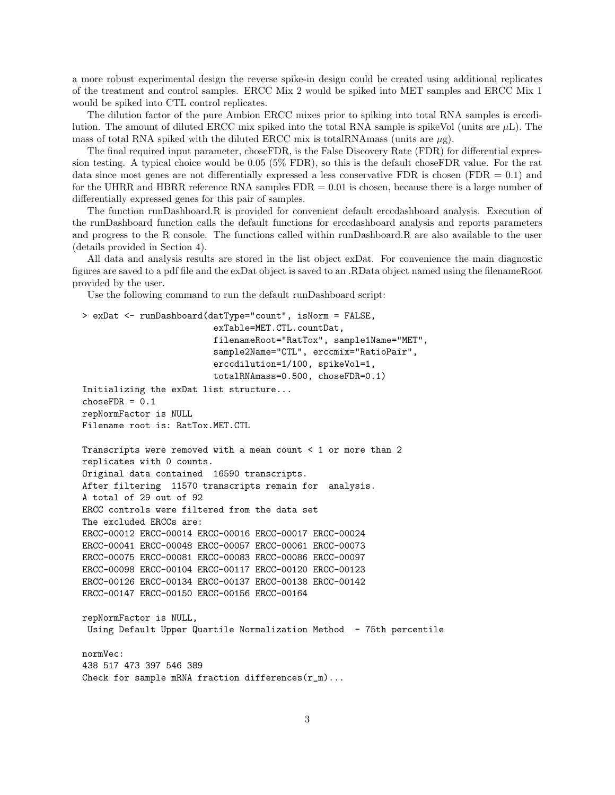a more robust experimental design the reverse spike-in design could be created using additional replicates of the treatment and control samples. ERCC Mix 2 would be spiked into MET samples and ERCC Mix 1 would be spiked into CTL control replicates.

The dilution factor of the pure Ambion ERCC mixes prior to spiking into total RNA samples is erccdilution. The amount of diluted ERCC mix spiked into the total RNA sample is spikeVol (units are  $\mu$ L). The mass of total RNA spiked with the diluted ERCC mix is totalRNAmass (units are  $\mu$ g).

The final required input parameter, choseFDR, is the False Discovery Rate (FDR) for differential expression testing. A typical choice would be 0.05 (5% FDR), so this is the default choseFDR value. For the rat data since most genes are not differentially expressed a less conservative FDR is chosen (FDR  $= 0.1$ ) and for the UHRR and HBRR reference RNA samples  $FDR = 0.01$  is chosen, because there is a large number of differentially expressed genes for this pair of samples.

The function runDashboard.R is provided for convenient default erccdashboard analysis. Execution of the runDashboard function calls the default functions for erccdashboard analysis and reports parameters and progress to the R console. The functions called within runDashboard.R are also available to the user (details provided in Section 4).

All data and analysis results are stored in the list object exDat. For convenience the main diagnostic figures are saved to a pdf file and the exDat object is saved to an .RData object named using the filenameRoot provided by the user.

Use the following command to run the default runDashboard script:

```
> exDat <- runDashboard(datType="count", isNorm = FALSE,
                         exTable=MET.CTL.countDat,
                         filenameRoot="RatTox", sample1Name="MET",
                         sample2Name="CTL", erccmix="RatioPair",
                         erccdilution=1/100, spikeVol=1,
                         totalRNAmass=0.500, choseFDR=0.1)
Initializing the exDat list structure...
choseFDR = 0.1repNormFactor is NULL
Filename root is: RatTox.MET.CTL
Transcripts were removed with a mean count < 1 or more than 2
replicates with 0 counts.
Original data contained 16590 transcripts.
After filtering 11570 transcripts remain for analysis.
A total of 29 out of 92
ERCC controls were filtered from the data set
The excluded ERCCs are:
ERCC-00012 ERCC-00014 ERCC-00016 ERCC-00017 ERCC-00024
ERCC-00041 ERCC-00048 ERCC-00057 ERCC-00061 ERCC-00073
ERCC-00075 ERCC-00081 ERCC-00083 ERCC-00086 ERCC-00097
ERCC-00098 ERCC-00104 ERCC-00117 ERCC-00120 ERCC-00123
ERCC-00126 ERCC-00134 ERCC-00137 ERCC-00138 ERCC-00142
ERCC-00147 ERCC-00150 ERCC-00156 ERCC-00164
repNormFactor is NULL,
Using Default Upper Quartile Normalization Method - 75th percentile
normVec:
438 517 473 397 546 389
Check for sample mRNA fraction differences(r_m)...
```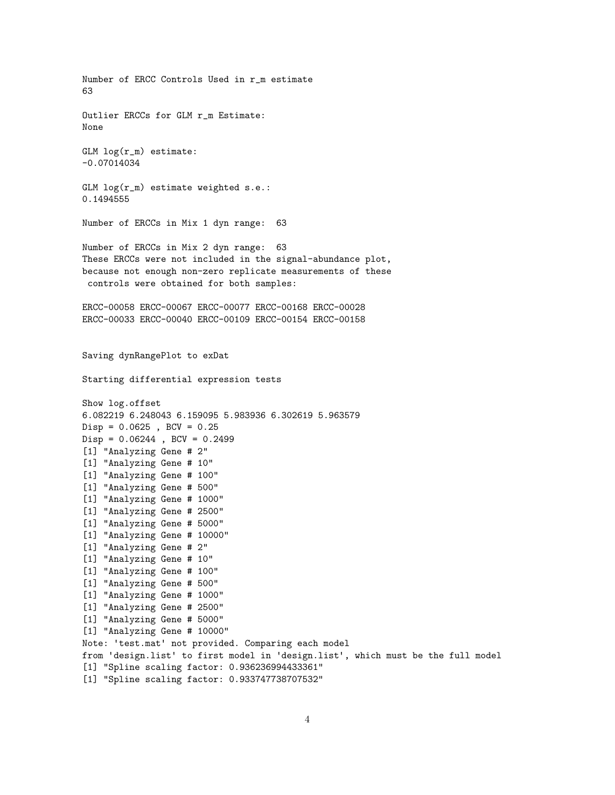Number of ERCC Controls Used in r\_m estimate 63 Outlier ERCCs for GLM r\_m Estimate: None GLM log(r\_m) estimate: -0.07014034 GLM log(r\_m) estimate weighted s.e.: 0.1494555 Number of ERCCs in Mix 1 dyn range: 63 Number of ERCCs in Mix 2 dyn range: 63 These ERCCs were not included in the signal-abundance plot, because not enough non-zero replicate measurements of these controls were obtained for both samples: ERCC-00058 ERCC-00067 ERCC-00077 ERCC-00168 ERCC-00028 ERCC-00033 ERCC-00040 ERCC-00109 ERCC-00154 ERCC-00158 Saving dynRangePlot to exDat Starting differential expression tests Show log.offset 6.082219 6.248043 6.159095 5.983936 6.302619 5.963579  $Disp = 0.0625$ ,  $BCV = 0.25$  $Disp = 0.06244$ ,  $BCV = 0.2499$ [1] "Analyzing Gene # 2" [1] "Analyzing Gene # 10" [1] "Analyzing Gene # 100" [1] "Analyzing Gene # 500" [1] "Analyzing Gene # 1000" [1] "Analyzing Gene # 2500" [1] "Analyzing Gene # 5000" [1] "Analyzing Gene # 10000" [1] "Analyzing Gene # 2" [1] "Analyzing Gene # 10" [1] "Analyzing Gene # 100" [1] "Analyzing Gene # 500" [1] "Analyzing Gene # 1000" [1] "Analyzing Gene # 2500" [1] "Analyzing Gene # 5000" [1] "Analyzing Gene # 10000" Note: 'test.mat' not provided. Comparing each model from 'design.list' to first model in 'design.list', which must be the full model [1] "Spline scaling factor: 0.936236994433361" [1] "Spline scaling factor: 0.933747738707532"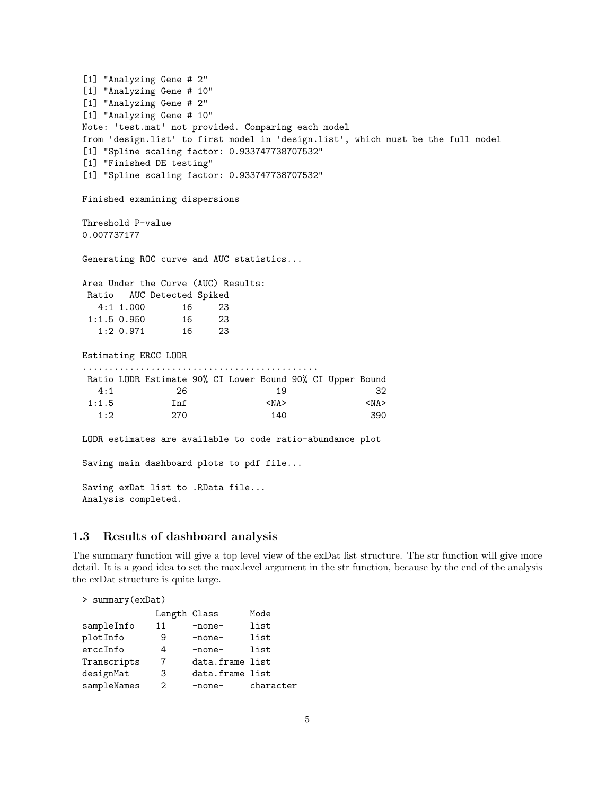[1] "Analyzing Gene # 2" [1] "Analyzing Gene # 10" [1] "Analyzing Gene # 2" [1] "Analyzing Gene # 10" Note: 'test.mat' not provided. Comparing each model from 'design.list' to first model in 'design.list', which must be the full model [1] "Spline scaling factor: 0.933747738707532" [1] "Finished DE testing" [1] "Spline scaling factor: 0.933747738707532" Finished examining dispersions Threshold P-value 0.007737177 Generating ROC curve and AUC statistics... Area Under the Curve (AUC) Results: Ratio AUC Detected Spiked 4:1 1.000 16 23 1:1.5 0.950 16 23 1:2 0.971 16 23 Estimating ERCC LODR ............................................. Ratio LODR Estimate 90% CI Lower Bound 90% CI Upper Bound 4:1 26 19 32 1:1.5 Inf <NA> <NA> <NA> 1:2 270 140 390 LODR estimates are available to code ratio-abundance plot Saving main dashboard plots to pdf file... Saving exDat list to .RData file... Analysis completed.

### 1.3 Results of dashboard analysis

The summary function will give a top level view of the exDat list structure. The str function will give more detail. It is a good idea to set the max.level argument in the str function, because by the end of the analysis the exDat structure is quite large.

| > summary (exDat) |              |                 |           |  |  |  |  |  |  |
|-------------------|--------------|-----------------|-----------|--|--|--|--|--|--|
|                   | Length Class |                 | Mode      |  |  |  |  |  |  |
| sampleInfo        | 11           | -none-          | list      |  |  |  |  |  |  |
| plotInfo          | 9            | -none-          | list      |  |  |  |  |  |  |
| erccInfo          | 4            | -none-          | list      |  |  |  |  |  |  |
| Transcripts       | 7            | data.frame list |           |  |  |  |  |  |  |
| designMat         | 3            | data.frame list |           |  |  |  |  |  |  |
| sampleNames       | 2            | -none-          | character |  |  |  |  |  |  |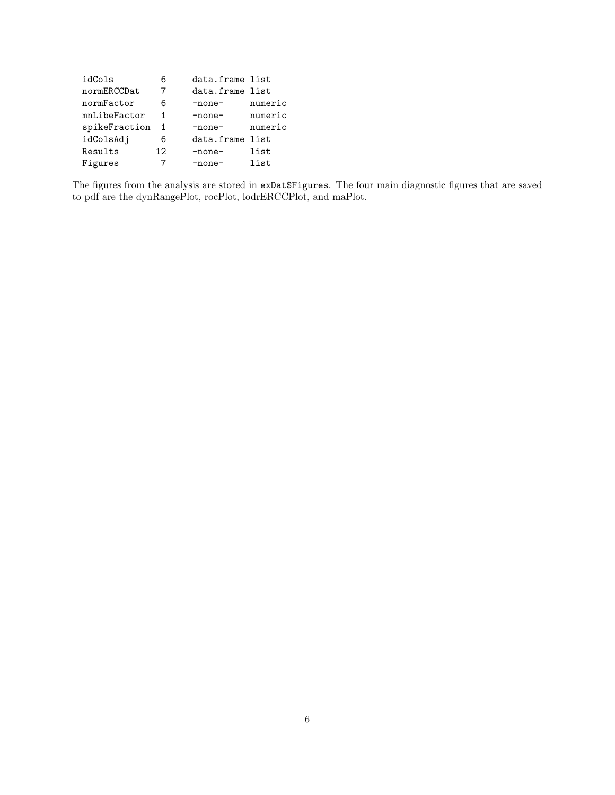| idCols        | 6  | data.frame list |         |
|---------------|----|-----------------|---------|
| normERCCDat   | 7  | data.frame list |         |
| normFactor    | 6  | -none-          | numeric |
| mnLibeFactor  |    | -none-          | numeric |
| spikeFraction | 1  | $-none-$        | numeric |
| idColsAdj     | 6  | data.frame list |         |
| Results       | 12 | -none-          | list    |
| Figures       |    | -none-          | list    |

The figures from the analysis are stored in exDat\$Figures. The four main diagnostic figures that are saved to pdf are the dynRangePlot, rocPlot, lodrERCCPlot, and maPlot.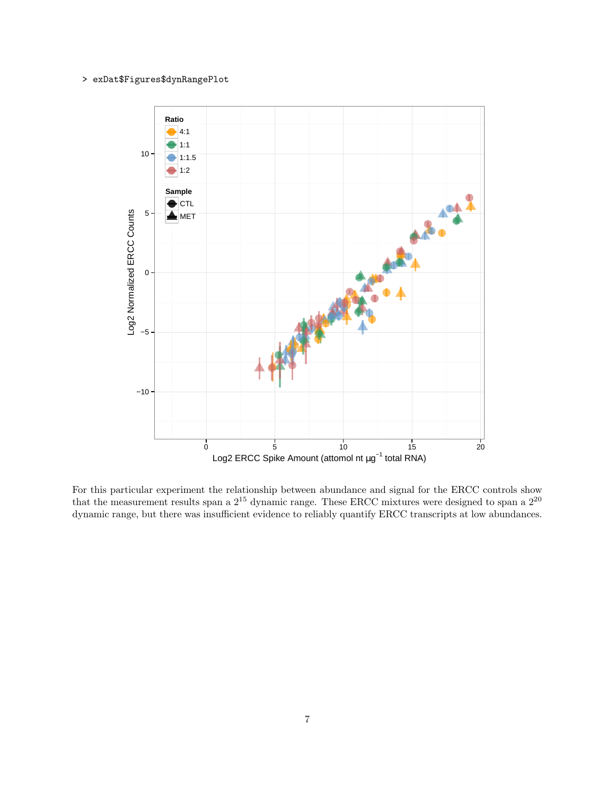### > exDat\$Figures\$dynRangePlot



For this particular experiment the relationship between abundance and signal for the ERCC controls show that the measurement results span a  $2^{15}$  dynamic range. These ERCC mixtures were designed to span a  $2^{20}$ dynamic range, but there was insufficient evidence to reliably quantify ERCC transcripts at low abundances.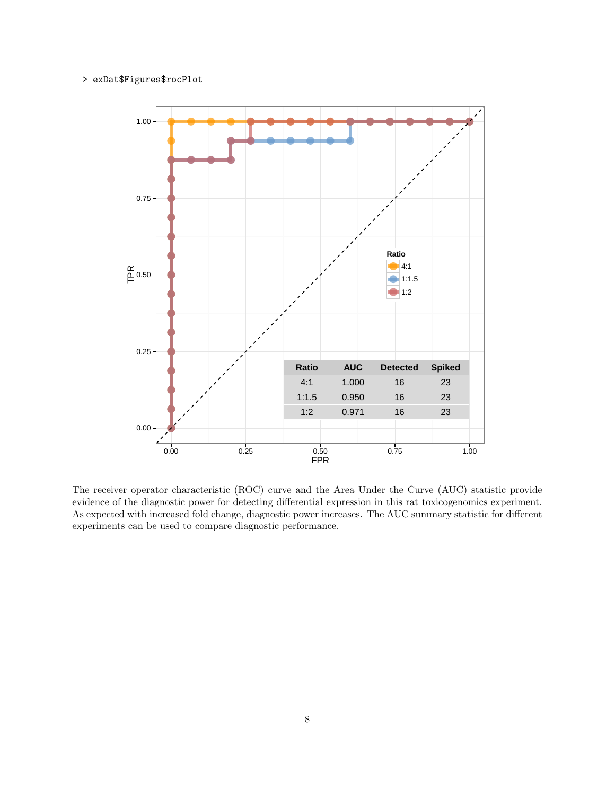#### > exDat\$Figures\$rocPlot



The receiver operator characteristic (ROC) curve and the Area Under the Curve (AUC) statistic provide evidence of the diagnostic power for detecting differential expression in this rat toxicogenomics experiment. As expected with increased fold change, diagnostic power increases. The AUC summary statistic for different experiments can be used to compare diagnostic performance.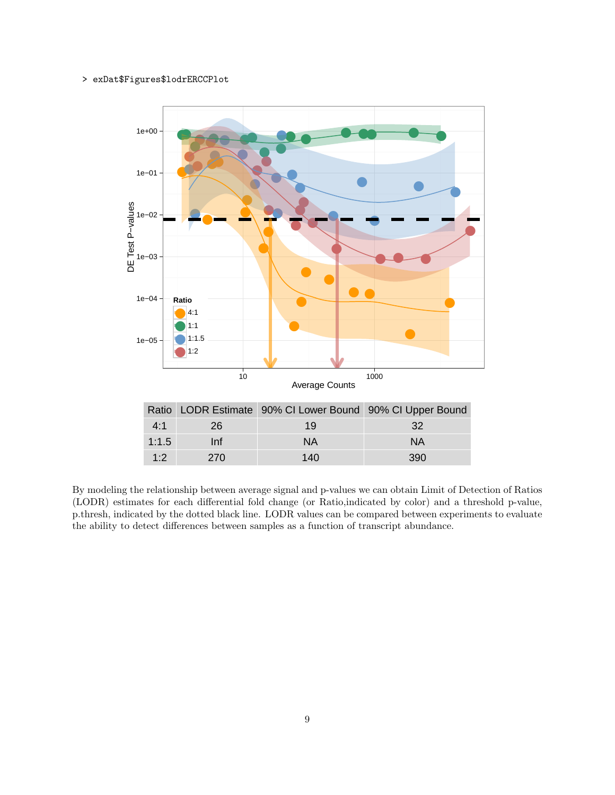### > exDat\$Figures\$lodrERCCPlot



By modeling the relationship between average signal and p-values we can obtain Limit of Detection of Ratios (LODR) estimates for each differential fold change (or Ratio,indicated by color) and a threshold p-value, p.thresh, indicated by the dotted black line. LODR values can be compared between experiments to evaluate the ability to detect differences between samples as a function of transcript abundance.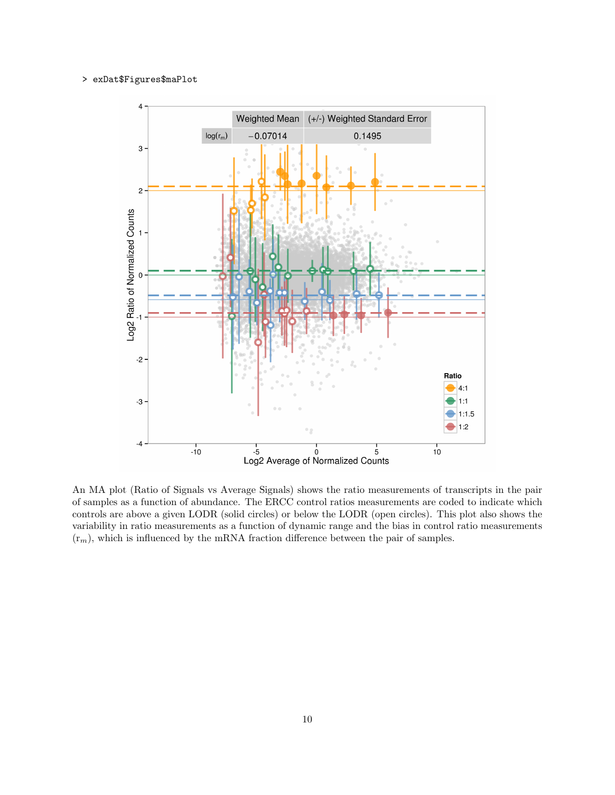#### > exDat\$Figures\$maPlot



An MA plot (Ratio of Signals vs Average Signals) shows the ratio measurements of transcripts in the pair of samples as a function of abundance. The ERCC control ratios measurements are coded to indicate which controls are above a given LODR (solid circles) or below the LODR (open circles). This plot also shows the variability in ratio measurements as a function of dynamic range and the bias in control ratio measurements  $(r_m)$ , which is influenced by the mRNA fraction difference between the pair of samples.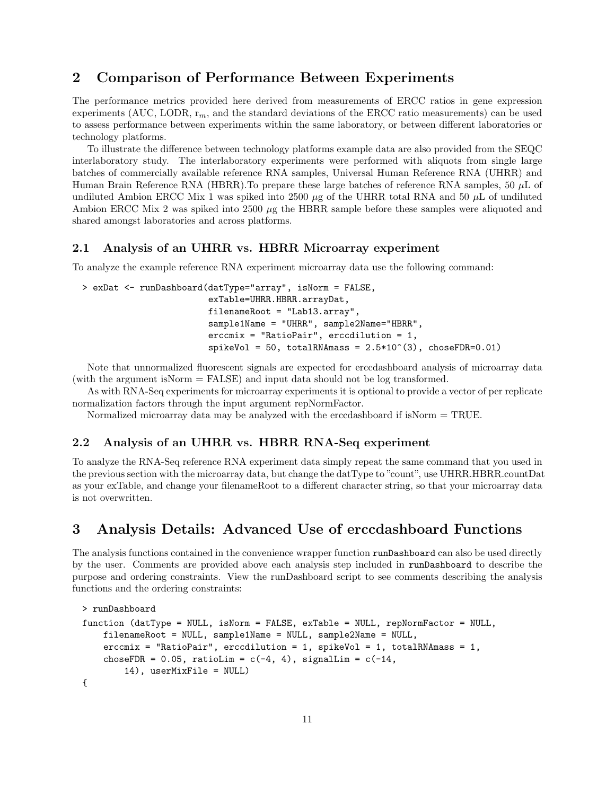# 2 Comparison of Performance Between Experiments

The performance metrics provided here derived from measurements of ERCC ratios in gene expression experiments (AUC, LODR,  $r_m$ , and the standard deviations of the ERCC ratio measurements) can be used to assess performance between experiments within the same laboratory, or between different laboratories or technology platforms.

To illustrate the difference between technology platforms example data are also provided from the SEQC interlaboratory study. The interlaboratory experiments were performed with aliquots from single large batches of commercially available reference RNA samples, Universal Human Reference RNA (UHRR) and Human Brain Reference RNA (HBRR).To prepare these large batches of reference RNA samples, 50 µL of undiluted Ambion ERCC Mix 1 was spiked into 2500  $\mu$ g of the UHRR total RNA and 50  $\mu$ L of undiluted Ambion ERCC Mix 2 was spiked into 2500  $\mu$ g the HBRR sample before these samples were aliquoted and shared amongst laboratories and across platforms.

### 2.1 Analysis of an UHRR vs. HBRR Microarray experiment

To analyze the example reference RNA experiment microarray data use the following command:

```
> exDat <- runDashboard(datType="array", isNorm = FALSE,
                        exTable=UHRR.HBRR.arrayDat,
                        filenameRoot = "Lab13.array",
                        sample1Name = "UHRR", sample2Name="HBRR",
                        erccmix = "RatioPair", erccdilution = 1,
                        spikeVol = 50, totalRNAmass = 2.5*10^(3), choseFDR=0.01)
```
Note that unnormalized fluorescent signals are expected for erccdashboard analysis of microarray data (with the argument isNorm = FALSE) and input data should not be log transformed.

As with RNA-Seq experiments for microarray experiments it is optional to provide a vector of per replicate normalization factors through the input argument repNormFactor.

Normalized microarray data may be analyzed with the erccdashboard if isNorm = TRUE.

## 2.2 Analysis of an UHRR vs. HBRR RNA-Seq experiment

To analyze the RNA-Seq reference RNA experiment data simply repeat the same command that you used in the previous section with the microarray data, but change the datType to "count", use UHRR.HBRR.countDat as your exTable, and change your filenameRoot to a different character string, so that your microarray data is not overwritten.

# 3 Analysis Details: Advanced Use of erccdashboard Functions

The analysis functions contained in the convenience wrapper function runDashboard can also be used directly by the user. Comments are provided above each analysis step included in runDashboard to describe the purpose and ordering constraints. View the runDashboard script to see comments describing the analysis functions and the ordering constraints:

```
> runDashboard
function (datType = NULL, isNorm = FALSE, exTable = NULL, repNormFactor = NULL,
    filenameRoot = NULL, sample1Name = NULL, sample2Name = NULL,
    \text{erccmix} = \text{"RatioPair"}, \text{erccdilution} = 1, \text{spikeVol} = 1, \text{totalRRMmass} = 1,
    choseFDR = 0.05, ratioLim = c(-4, 4), signalLim = c(-14, 4)14), userMixFile = NULL)
{
```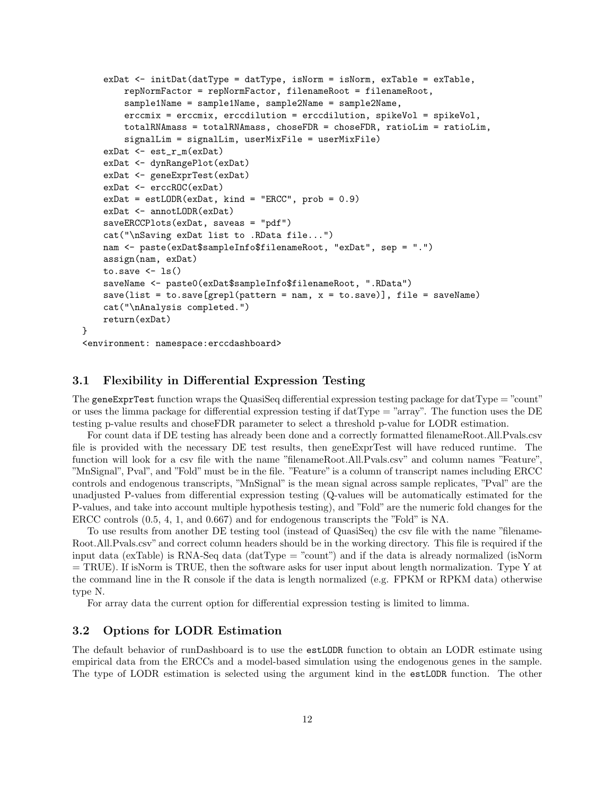```
exDat \leq initDat(datType = datType, isNorm = isNorm, exTable = exTable,
       repNormFactor = repNormFactor, filenameRoot = filenameRoot,
        sample1Name = sample1Name, sample2Name = sample2Name,
        erccmix = erccmix, erccdilution = erccdilution, spikeVol = spikeVol,
        totalRNAmass = totalRNAmass, choseFDR = choseFDR, ratioLim = ratioLim,
        signalLim = signalLim, userMixFile = userMixFile)
    exDat <- est_r_m(exDat)
    exDat <- dynRangePlot(exDat)
   exDat <- geneExprTest(exDat)
   exDat <- erccROC(exDat)
   exPat = estLODR(exPat, kind = "ERC", prob = 0.9)exDat <- annotLODR(exDat)
   saveERCCPlots(exDat, saveas = "pdf")
    cat("\nSaving exDat list to .RData file...")
   nam <- paste(exDat$sampleInfo$filenameRoot, "exDat", sep = ".")
    assign(nam, exDat)
   to.save \leftarrow ls()
   saveName <- paste0(exDat$sampleInfo$filenameRoot, ".RData")
   save(list = to.save[grepl(pattern = nam, x = to.save)], file = saveName)
    cat("\nAnalysis completed.")
   return(exDat)
<environment: namespace:erccdashboard>
```
### 3.1 Flexibility in Differential Expression Testing

}

The gene ExprTest function wraps the QuasiSeq differential expression testing package for datType  $=$  "count" or uses the limma package for differential expression testing if  $datType = "array"$ . The function uses the DE testing p-value results and choseFDR parameter to select a threshold p-value for LODR estimation.

For count data if DE testing has already been done and a correctly formatted filenameRoot.All.Pvals.csv file is provided with the necessary DE test results, then geneExprTest will have reduced runtime. The function will look for a csv file with the name "filenameRoot.All.Pvals.csv" and column names "Feature", "MnSignal", Pval", and "Fold" must be in the file. "Feature" is a column of transcript names including ERCC controls and endogenous transcripts, "MnSignal" is the mean signal across sample replicates, "Pval" are the unadjusted P-values from differential expression testing (Q-values will be automatically estimated for the P-values, and take into account multiple hypothesis testing), and "Fold" are the numeric fold changes for the ERCC controls (0.5, 4, 1, and 0.667) and for endogenous transcripts the "Fold" is NA.

To use results from another DE testing tool (instead of QuasiSeq) the csv file with the name "filename-Root.All.Pvals.csv" and correct column headers should be in the working directory. This file is required if the input data (exTable) is RNA-Seq data (datType = "count") and if the data is already normalized (isNorm  $=$  TRUE). If isNorm is TRUE, then the software asks for user input about length normalization. Type Y at the command line in the R console if the data is length normalized (e.g. FPKM or RPKM data) otherwise type N.

For array data the current option for differential expression testing is limited to limma.

### 3.2 Options for LODR Estimation

The default behavior of runDashboard is to use the estLODR function to obtain an LODR estimate using empirical data from the ERCCs and a model-based simulation using the endogenous genes in the sample. The type of LODR estimation is selected using the argument kind in the estLODR function. The other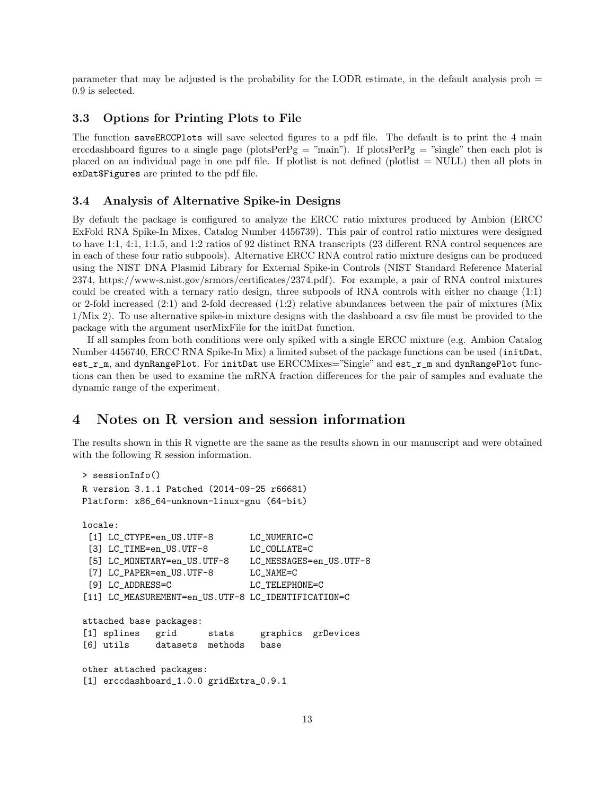parameter that may be adjusted is the probability for the LODR estimate, in the default analysis prob = 0.9 is selected.

### 3.3 Options for Printing Plots to File

The function saveERCCPlots will save selected figures to a pdf file. The default is to print the 4 main erccdashboard figures to a single page (plotsPerPg = "main"). If plotsPerPg = "single" then each plot is placed on an individual page in one pdf file. If plotlist is not defined (plotlist  $=$  NULL) then all plots in exDat\$Figures are printed to the pdf file.

### 3.4 Analysis of Alternative Spike-in Designs

By default the package is configured to analyze the ERCC ratio mixtures produced by Ambion (ERCC ExFold RNA Spike-In Mixes, Catalog Number 4456739). This pair of control ratio mixtures were designed to have 1:1, 4:1, 1:1.5, and 1:2 ratios of 92 distinct RNA transcripts (23 different RNA control sequences are in each of these four ratio subpools). Alternative ERCC RNA control ratio mixture designs can be produced using the NIST DNA Plasmid Library for External Spike-in Controls (NIST Standard Reference Material 2374, https://www-s.nist.gov/srmors/certificates/2374.pdf). For example, a pair of RNA control mixtures could be created with a ternary ratio design, three subpools of RNA controls with either no change (1:1) or 2-fold increased (2:1) and 2-fold decreased (1:2) relative abundances between the pair of mixtures (Mix 1/Mix 2). To use alternative spike-in mixture designs with the dashboard a csv file must be provided to the package with the argument userMixFile for the initDat function.

If all samples from both conditions were only spiked with a single ERCC mixture (e.g. Ambion Catalog Number 4456740, ERCC RNA Spike-In Mix) a limited subset of the package functions can be used (initDat, est\_r\_m, and dynRangePlot. For initDat use ERCCMixes="Single" and est\_r\_m and dynRangePlot functions can then be used to examine the mRNA fraction differences for the pair of samples and evaluate the dynamic range of the experiment.

# 4 Notes on R version and session information

The results shown in this R vignette are the same as the results shown in our manuscript and were obtained with the following R session information.

```
> sessionInfo()
R version 3.1.1 Patched (2014-09-25 r66681)
Platform: x86_64-unknown-linux-gnu (64-bit)
locale:
 [1] LC_CTYPE=en_US.UTF-8 LC_NUMERIC=C
 [3] LC_TIME=en_US.UTF-8 LC_COLLATE=C
 [5] LC_MONETARY=en_US.UTF-8 LC_MESSAGES=en_US.UTF-8
 [7] LC_PAPER=en_US.UTF-8 LC_NAME=C
 [9] LC_ADDRESS=C LC_TELEPHONE=C
[11] LC_MEASUREMENT=en_US.UTF-8 LC_IDENTIFICATION=C
attached base packages:
[1] splines grid stats graphics grDevices
[6] utils datasets methods base
other attached packages:
[1] erccdashboard_1.0.0 gridExtra_0.9.1
```